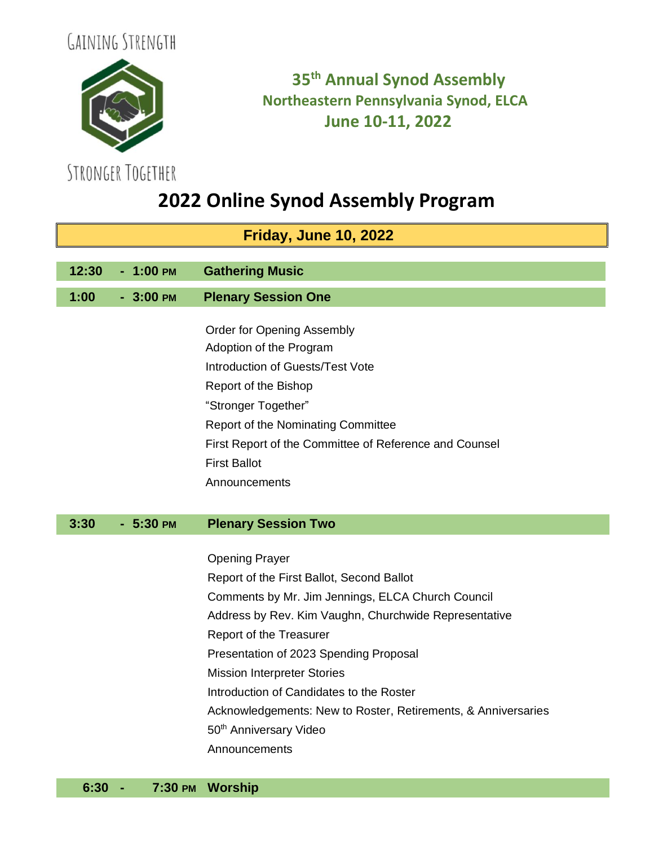



## **35 th Annual Synod Assembly Northeastern Pennsylvania Synod, ELCA June 10-11, 2022**

# **2022 Online Synod Assembly Program**

| <b>Friday, June 10, 2022</b> |            |                                                               |
|------------------------------|------------|---------------------------------------------------------------|
|                              |            |                                                               |
| 12:30                        | $-1:00$ PM | <b>Gathering Music</b>                                        |
| 1:00                         | $-3:00$ PM | <b>Plenary Session One</b>                                    |
|                              |            |                                                               |
|                              |            | <b>Order for Opening Assembly</b>                             |
|                              |            | Adoption of the Program                                       |
|                              |            | Introduction of Guests/Test Vote                              |
|                              |            | Report of the Bishop                                          |
|                              |            | "Stronger Together"                                           |
|                              |            | Report of the Nominating Committee                            |
|                              |            | First Report of the Committee of Reference and Counsel        |
|                              |            | <b>First Ballot</b>                                           |
|                              |            | Announcements                                                 |
|                              |            |                                                               |
|                              |            |                                                               |
| 3:30                         | $-5:30$ PM | <b>Plenary Session Two</b>                                    |
|                              |            |                                                               |
|                              |            | <b>Opening Prayer</b>                                         |
|                              |            | Report of the First Ballot, Second Ballot                     |
|                              |            | Comments by Mr. Jim Jennings, ELCA Church Council             |
|                              |            | Address by Rev. Kim Vaughn, Churchwide Representative         |
|                              |            | Report of the Treasurer                                       |
|                              |            | Presentation of 2023 Spending Proposal                        |
|                              |            | <b>Mission Interpreter Stories</b>                            |
|                              |            | Introduction of Candidates to the Roster                      |
|                              |            | Acknowledgements: New to Roster, Retirements, & Anniversaries |
|                              |            | 50 <sup>th</sup> Anniversary Video                            |
|                              |            | Announcements                                                 |